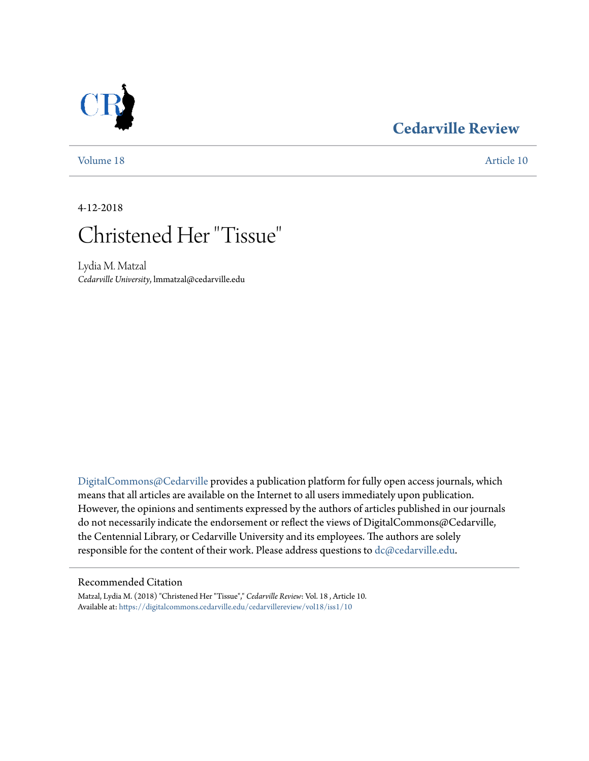## **[Cedarville Review](https://digitalcommons.cedarville.edu/cedarvillereview?utm_source=digitalcommons.cedarville.edu%2Fcedarvillereview%2Fvol18%2Fiss1%2F10&utm_medium=PDF&utm_campaign=PDFCoverPages)**

[Volume 18](https://digitalcommons.cedarville.edu/cedarvillereview/vol18?utm_source=digitalcommons.cedarville.edu%2Fcedarvillereview%2Fvol18%2Fiss1%2F10&utm_medium=PDF&utm_campaign=PDFCoverPages) [Article 10](https://digitalcommons.cedarville.edu/cedarvillereview/vol18/iss1/10?utm_source=digitalcommons.cedarville.edu%2Fcedarvillereview%2Fvol18%2Fiss1%2F10&utm_medium=PDF&utm_campaign=PDFCoverPages)

4-12-2018



Lydia M. Matzal *Cedarville University*, lmmatzal@cedarville.edu

[DigitalCommons@Cedarville](http://digitalcommons.cedarville.edu/) provides a publication platform for fully open access journals, which means that all articles are available on the Internet to all users immediately upon publication. However, the opinions and sentiments expressed by the authors of articles published in our journals do not necessarily indicate the endorsement or reflect the views of DigitalCommons@Cedarville, the Centennial Library, or Cedarville University and its employees. The authors are solely responsible for the content of their work. Please address questions to [dc@cedarville.edu](mailto:dc@cedarville.edu).

## Recommended Citation

Matzal, Lydia M. (2018) "Christened Her "Tissue"," *Cedarville Review*: Vol. 18 , Article 10. Available at: [https://digitalcommons.cedarville.edu/cedarvillereview/vol18/iss1/10](https://digitalcommons.cedarville.edu/cedarvillereview/vol18/iss1/10?utm_source=digitalcommons.cedarville.edu%2Fcedarvillereview%2Fvol18%2Fiss1%2F10&utm_medium=PDF&utm_campaign=PDFCoverPages)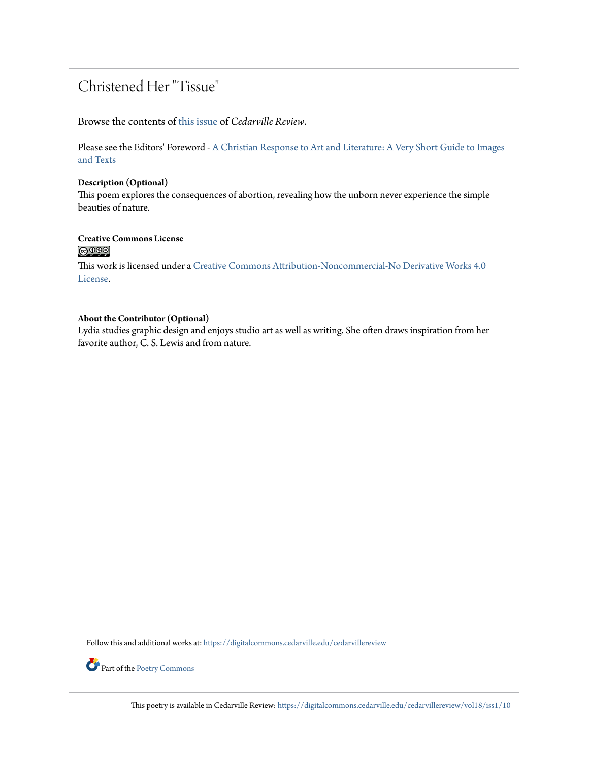## Christened Her "Tissue"

Browse the contents of [this issue](https://digitalcommons.cedarville.edu/cedarvillereview/vol18/iss1) of *Cedarville Review*.

Please see the Editors' Foreword - [A Christian Response to Art and Literature: A Very Short Guide to Images](http://digitalcommons.cedarville.edu/cedarvillereview/vol18/iss1/1/) [and Texts](http://digitalcommons.cedarville.edu/cedarvillereview/vol18/iss1/1/)

### **Description (Optional)**

This poem explores the consequences of abortion, revealing how the unborn never experience the simple beauties of nature.

# **Creative Commons License**<br> **@ 089**

This work is licensed under a [Creative Commons Attribution-Noncommercial-No Derivative Works 4.0](http://creativecommons.org/licenses/by-nc-nd/4.0/) [License.](http://creativecommons.org/licenses/by-nc-nd/4.0/)

## **About the Contributor (Optional)**

Lydia studies graphic design and enjoys studio art as well as writing. She often draws inspiration from her favorite author, C. S. Lewis and from nature.

Follow this and additional works at: [https://digitalcommons.cedarville.edu/cedarvillereview](https://digitalcommons.cedarville.edu/cedarvillereview?utm_source=digitalcommons.cedarville.edu%2Fcedarvillereview%2Fvol18%2Fiss1%2F10&utm_medium=PDF&utm_campaign=PDFCoverPages)



Part of the <u>[Poetry Commons](http://network.bepress.com/hgg/discipline/1153?utm_source=digitalcommons.cedarville.edu%2Fcedarvillereview%2Fvol18%2Fiss1%2F10&utm_medium=PDF&utm_campaign=PDFCoverPages)</u>

This poetry is available in Cedarville Review: [https://digitalcommons.cedarville.edu/cedarvillereview/vol18/iss1/10](https://digitalcommons.cedarville.edu/cedarvillereview/vol18/iss1/10?utm_source=digitalcommons.cedarville.edu%2Fcedarvillereview%2Fvol18%2Fiss1%2F10&utm_medium=PDF&utm_campaign=PDFCoverPages)